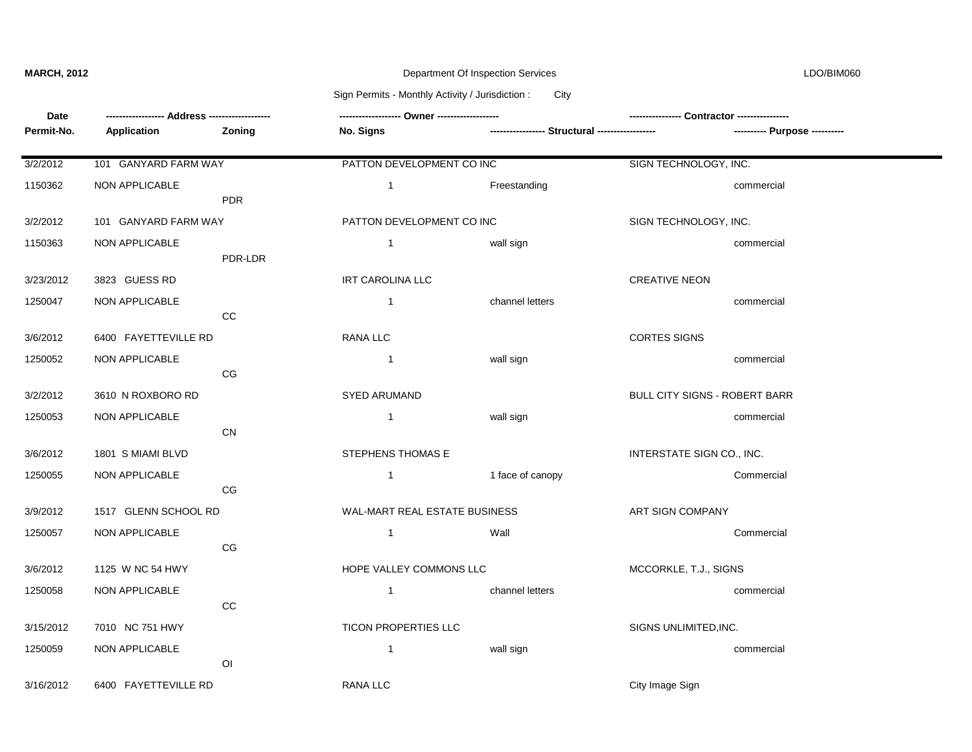# **MARCH, 2012** Department Of Inspection Services LDO/BIM060

### Sign Permits - Monthly Activity / Jurisdiction : City

| Date       |                      |                |                                      |                                                 |                               |            |  |
|------------|----------------------|----------------|--------------------------------------|-------------------------------------------------|-------------------------------|------------|--|
| Permit-No. | Application          | Zoning         | No. Signs                            | ----------------- Structural ------------------ |                               |            |  |
| 3/2/2012   | 101 GANYARD FARM WAY |                | PATTON DEVELOPMENT CO INC            |                                                 | SIGN TECHNOLOGY, INC.         |            |  |
| 1150362    | NON APPLICABLE       | <b>PDR</b>     | $\mathbf{1}$                         | Freestanding                                    |                               | commercial |  |
| 3/2/2012   | 101 GANYARD FARM WAY |                | PATTON DEVELOPMENT CO INC            |                                                 | SIGN TECHNOLOGY, INC.         |            |  |
| 1150363    | NON APPLICABLE       | PDR-LDR        | $\mathbf{1}$                         | wall sign                                       |                               | commercial |  |
| 3/23/2012  | 3823 GUESS RD        |                | <b>IRT CAROLINA LLC</b>              |                                                 | <b>CREATIVE NEON</b>          |            |  |
| 1250047    | NON APPLICABLE       | cc             | $\mathbf{1}$                         | channel letters                                 |                               | commercial |  |
| 3/6/2012   | 6400 FAYETTEVILLE RD |                | RANA LLC                             |                                                 | <b>CORTES SIGNS</b>           |            |  |
| 1250052    | NON APPLICABLE       | CG             | $\mathbf{1}$                         | wall sign                                       |                               | commercial |  |
| 3/2/2012   | 3610 N ROXBORO RD    |                | <b>SYED ARUMAND</b>                  |                                                 | BULL CITY SIGNS - ROBERT BARR |            |  |
| 1250053    | NON APPLICABLE       | <b>CN</b>      | $\mathbf{1}$                         | wall sign                                       |                               | commercial |  |
| 3/6/2012   | 1801 S MIAMI BLVD    |                | STEPHENS THOMAS E                    |                                                 | INTERSTATE SIGN CO., INC.     |            |  |
| 1250055    | NON APPLICABLE       | CG             | $\mathbf{1}$                         | 1 face of canopy                                |                               | Commercial |  |
| 3/9/2012   | 1517 GLENN SCHOOL RD |                | <b>WAL-MART REAL ESTATE BUSINESS</b> |                                                 | ART SIGN COMPANY              |            |  |
| 1250057    | NON APPLICABLE       | CG             | $\mathbf{1}$                         | Wall                                            |                               | Commercial |  |
| 3/6/2012   | 1125 W NC 54 HWY     |                | HOPE VALLEY COMMONS LLC              |                                                 | MCCORKLE, T.J., SIGNS         |            |  |
| 1250058    | NON APPLICABLE       | cc             | $\mathbf{1}$                         | channel letters                                 |                               | commercial |  |
| 3/15/2012  | 7010 NC 751 HWY      |                | TICON PROPERTIES LLC                 |                                                 | SIGNS UNLIMITED, INC.         |            |  |
| 1250059    | NON APPLICABLE       | O <sub>1</sub> | $\mathbf{1}$                         | wall sign                                       |                               | commercial |  |
| 3/16/2012  | 6400 FAYETTEVILLE RD |                | RANA LLC                             |                                                 | City Image Sign               |            |  |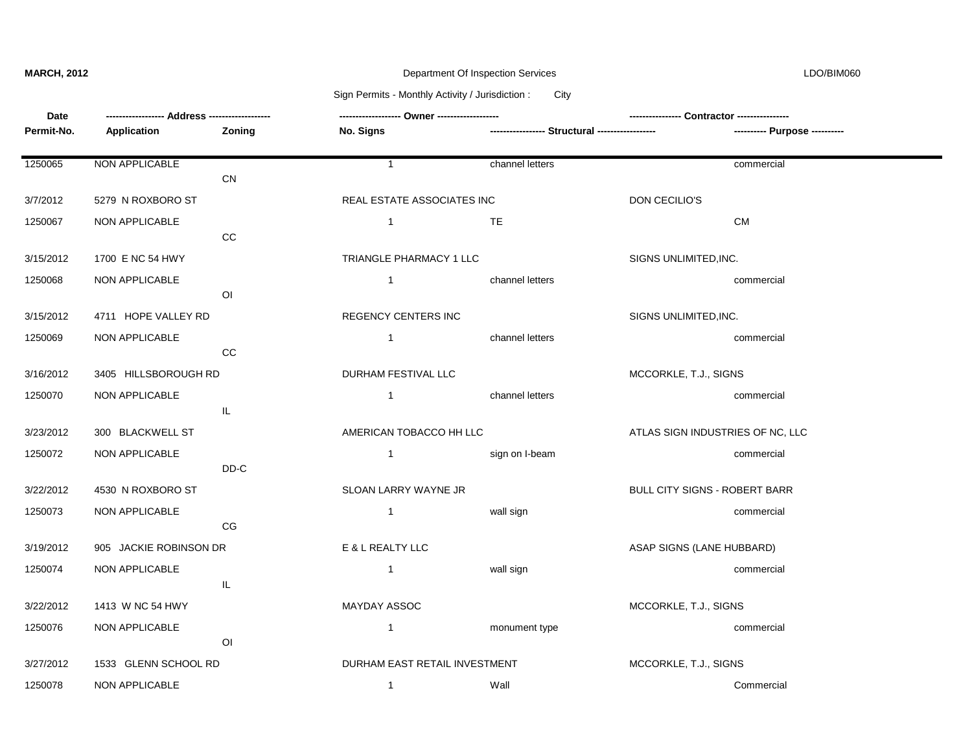# **MARCH, 2012** Department Of Inspection Services LDO/BIM060

### Sign Permits - Monthly Activity / Jurisdiction : City

| Date       |                        |                |                               |                                                |                                  |  |
|------------|------------------------|----------------|-------------------------------|------------------------------------------------|----------------------------------|--|
| Permit-No. | Application            | Zoning         | No. Signs                     | ---------------- Structural ------------------ | ---------- Purpose ----------    |  |
|            |                        |                |                               |                                                |                                  |  |
| 1250065    | NON APPLICABLE         |                | $\mathbf{1}$                  | channel letters                                | commercial                       |  |
|            |                        | CN             |                               |                                                |                                  |  |
| 3/7/2012   | 5279 N ROXBORO ST      |                | REAL ESTATE ASSOCIATES INC    |                                                | DON CECILIO'S                    |  |
| 1250067    | NON APPLICABLE         |                | $\mathbf{1}$                  | TE                                             | <b>CM</b>                        |  |
|            |                        | CC             |                               |                                                |                                  |  |
| 3/15/2012  | 1700 E NC 54 HWY       |                | TRIANGLE PHARMACY 1 LLC       |                                                | SIGNS UNLIMITED, INC.            |  |
| 1250068    | NON APPLICABLE         |                | $\mathbf{1}$                  | channel letters                                | commercial                       |  |
|            |                        | O <sub>l</sub> |                               |                                                |                                  |  |
| 3/15/2012  | 4711 HOPE VALLEY RD    |                | <b>REGENCY CENTERS INC</b>    |                                                | SIGNS UNLIMITED, INC.            |  |
| 1250069    | NON APPLICABLE         |                | $\mathbf{1}$                  | channel letters                                | commercial                       |  |
|            |                        | CC             |                               |                                                |                                  |  |
| 3/16/2012  | 3405 HILLSBOROUGH RD   |                | DURHAM FESTIVAL LLC           |                                                | MCCORKLE, T.J., SIGNS            |  |
| 1250070    | NON APPLICABLE         |                | $\overline{1}$                | channel letters                                | commercial                       |  |
|            |                        | IL.            |                               |                                                |                                  |  |
| 3/23/2012  | 300 BLACKWELL ST       |                | AMERICAN TOBACCO HH LLC       |                                                | ATLAS SIGN INDUSTRIES OF NC, LLC |  |
| 1250072    | NON APPLICABLE         |                | $\mathbf{1}$                  | sign on I-beam                                 | commercial                       |  |
|            |                        | DD-C           |                               |                                                |                                  |  |
| 3/22/2012  | 4530 N ROXBORO ST      |                | SLOAN LARRY WAYNE JR          |                                                | BULL CITY SIGNS - ROBERT BARR    |  |
| 1250073    | NON APPLICABLE         |                | $\mathbf{1}$                  | wall sign                                      | commercial                       |  |
|            |                        | CG             |                               |                                                |                                  |  |
| 3/19/2012  | 905 JACKIE ROBINSON DR |                | E & L REALTY LLC              |                                                | ASAP SIGNS (LANE HUBBARD)        |  |
| 1250074    | NON APPLICABLE         |                | $\mathbf{1}$                  | wall sign                                      | commercial                       |  |
|            |                        | IL             |                               |                                                |                                  |  |
| 3/22/2012  | 1413 W NC 54 HWY       |                | MAYDAY ASSOC                  |                                                | MCCORKLE, T.J., SIGNS            |  |
| 1250076    | NON APPLICABLE         |                | $\mathbf{1}$                  | monument type                                  | commercial                       |  |
|            |                        | O <sub>l</sub> |                               |                                                |                                  |  |
| 3/27/2012  | 1533 GLENN SCHOOL RD   |                | DURHAM EAST RETAIL INVESTMENT |                                                | MCCORKLE, T.J., SIGNS            |  |
| 1250078    | NON APPLICABLE         |                | $\mathbf{1}$                  | Wall                                           | Commercial                       |  |